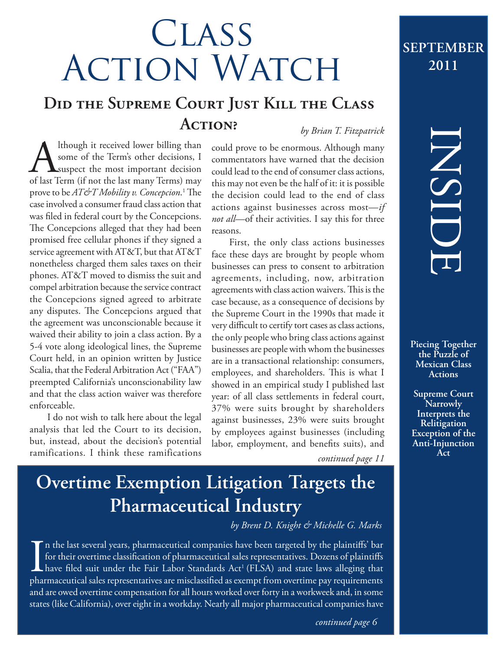# **CLASS ACTION WATCH**

### **Did the Supreme Court Just Kill the Class Action?** *by Brian T. Fitzpatrick*

Although it received lower billing than<br>
some of the Term's other decisions, I<br>
suspect the most important decision<br>
of last Term (if not the last many Terms) may some of the Term's other decisions, I **L**suspect the most important decision prove to be *AT&T Mobility v. Concepcion*. 1 The case involved a consumer fraud class action that was filed in federal court by the Concepcions. The Concepcions alleged that they had been promised free cellular phones if they signed a service agreement with AT&T, but that AT&T nonetheless charged them sales taxes on their phones. AT&T moved to dismiss the suit and compel arbitration because the service contract the Concepcions signed agreed to arbitrate any disputes. The Concepcions argued that the agreement was unconscionable because it waived their ability to join a class action. By a 5-4 vote along ideological lines, the Supreme Court held, in an opinion written by Justice Scalia, that the Federal Arbitration Act ("FAA") preempted California's unconscionability law and that the class action waiver was therefore enforceable.

I do not wish to talk here about the legal analysis that led the Court to its decision, but, instead, about the decision's potential ramifications. I think these ramifications could prove to be enormous. Although many commentators have warned that the decision could lead to the end of consumer class actions, this may not even be the half of it: it is possible the decision could lead to the end of class actions against businesses across most—*if not all*—of their activities. I say this for three reasons.

First, the only class actions businesses face these days are brought by people whom businesses can press to consent to arbitration agreements, including, now, arbitration agreements with class action waivers. This is the case because, as a consequence of decisions by the Supreme Court in the 1990s that made it very difficult to certify tort cases as class actions, the only people who bring class actions against businesses are people with whom the businesses are in a transactional relationship: consumers, employees, and shareholders. This is what I showed in an empirical study I published last year: of all class settlements in federal court, 37% were suits brought by shareholders against businesses, 23% were suits brought by employees against businesses (including labor, employment, and benefits suits), and

INSIDE

**september**

**2011**

**Piecing Together the Puzzle of Mexican Class Actions**

**Supreme Court Narrowly Interprets the Relitigation Exception of the Anti-Injunction** 

**Act** *continued page 11*

## **Overtime Exemption Litigation Targets the Pharmaceutical Industry**

*by Brent D. Knight & Michelle G. Marks*

In the last several years, pharmaceutical companies have been targeted by the plaintiffs' bar<br>for their overtime classification of pharmaceutical sales representatives. Dozens of plaintiffs<br>have filed suit under the Fair L n the last several years, pharmaceutical companies have been targeted by the plaintiffs' bar for their overtime classification of pharmaceutical sales representatives. Dozens of plaintiffs  $\blacktriangle$  have filed suit under the Fair Labor Standards Act<sup>1</sup> (FLSA) and state laws alleging that and are owed overtime compensation for all hours worked over forty in a workweek and, in some states (like California), over eight in a workday. Nearly all major pharmaceutical companies have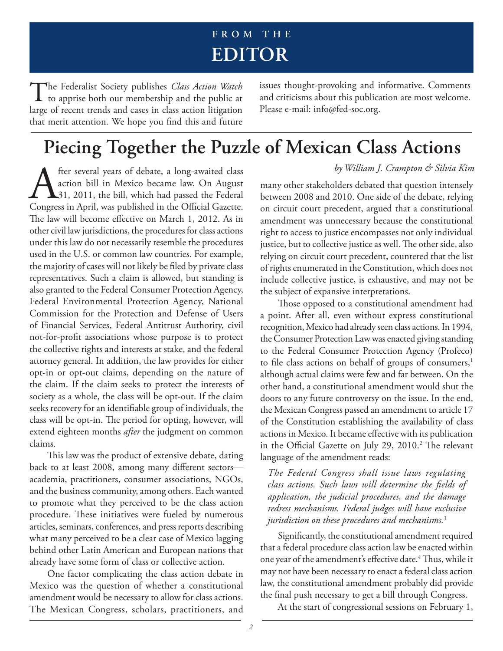### **F R O M T H E editor**

The Federalist Society publishes *Class Action Watch*<br>to apprise both our membership and the public at large of recent trends and cases in class action litigation that merit attention. We hope you find this and future

issues thought-provoking and informative. Comments and criticisms about this publication are most welcome. Please e-mail: info@fed-soc.org.

### **Piecing Together the Puzzle of Mexican Class Actions**

*by William J. Crampton & Silvia Kim*<br>action bill in Mexico became law. On August many other stakeholders debated that question intensely<br>31, 2011, the bill, which had passed the Federal between 2008 and 2010. One side of action bill in Mexico became law. On August 31, 2011, the bill, which had passed the Federal Congress in April, was published in the Official Gazette. The law will become effective on March 1, 2012. As in other civil law jurisdictions, the procedures for class actions under this law do not necessarily resemble the procedures used in the U.S. or common law countries. For example, the majority of cases will not likely be filed by private class representatives. Such a claim is allowed, but standing is also granted to the Federal Consumer Protection Agency, Federal Environmental Protection Agency, National Commission for the Protection and Defense of Users of Financial Services, Federal Antitrust Authority, civil not-for-profit associations whose purpose is to protect the collective rights and interests at stake, and the federal attorney general. In addition, the law provides for either opt-in or opt-out claims, depending on the nature of the claim. If the claim seeks to protect the interests of society as a whole, the class will be opt-out. If the claim seeks recovery for an identifiable group of individuals, the class will be opt-in. The period for opting, however, will extend eighteen months *after* the judgment on common claims.

This law was the product of extensive debate, dating back to at least 2008, among many different sectors academia, practitioners, consumer associations, NGOs, and the business community, among others. Each wanted to promote what they perceived to be the class action procedure. These initiatives were fueled by numerous articles, seminars, conferences, and press reports describing what many perceived to be a clear case of Mexico lagging behind other Latin American and European nations that already have some form of class or collective action.

One factor complicating the class action debate in Mexico was the question of whether a constitutional amendment would be necessary to allow for class actions. The Mexican Congress, scholars, practitioners, and

many other stakeholders debated that question intensely between 2008 and 2010. One side of the debate, relying on circuit court precedent, argued that a constitutional amendment was unnecessary because the constitutional right to access to justice encompasses not only individual justice, but to collective justice as well. The other side, also relying on circuit court precedent, countered that the list of rights enumerated in the Constitution, which does not include collective justice, is exhaustive, and may not be the subject of expansive interpretations.

Those opposed to a constitutional amendment had a point. After all, even without express constitutional recognition, Mexico had already seen class actions. In 1994, the Consumer Protection Law was enacted giving standing to the Federal Consumer Protection Agency (Profeco) to file class actions on behalf of groups of consumers,<sup>1</sup> although actual claims were few and far between. On the other hand, a constitutional amendment would shut the doors to any future controversy on the issue. In the end, the Mexican Congress passed an amendment to article 17 of the Constitution establishing the availability of class actions in Mexico. It became effective with its publication in the Official Gazette on July 29, 2010.<sup>2</sup> The relevant language of the amendment reads:

*The Federal Congress shall issue laws regulating class actions. Such laws will determine the fields of application, the judicial procedures, and the damage redress mechanisms. Federal judges will have exclusive jurisdiction on these procedures and mechanisms.*<sup>3</sup>

Significantly, the constitutional amendment required that a federal procedure class action law be enacted within one year of the amendment's effective date.<sup>4</sup> Thus, while it may not have been necessary to enact a federal class action law, the constitutional amendment probably did provide the final push necessary to get a bill through Congress.

At the start of congressional sessions on February 1,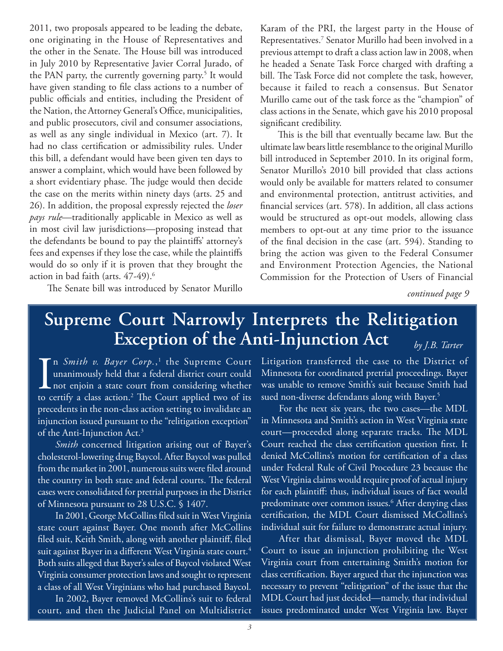2011, two proposals appeared to be leading the debate, one originating in the House of Representatives and the other in the Senate. The House bill was introduced in July 2010 by Representative Javier Corral Jurado, of the PAN party, the currently governing party.<sup>5</sup> It would have given standing to file class actions to a number of public officials and entities, including the President of the Nation, the Attorney General's Office, municipalities, and public prosecutors, civil and consumer associations, as well as any single individual in Mexico (art. 7). It had no class certification or admissibility rules. Under this bill, a defendant would have been given ten days to answer a complaint, which would have been followed by a short evidentiary phase. The judge would then decide the case on the merits within ninety days (arts. 25 and 26). In addition, the proposal expressly rejected the *loser pays rule*—traditionally applicable in Mexico as well as in most civil law jurisdictions—proposing instead that the defendants be bound to pay the plaintiffs' attorney's fees and expenses if they lose the case, while the plaintiffs would do so only if it is proven that they brought the action in bad faith (arts. 47-49).<sup>6</sup>

Karam of the PRI, the largest party in the House of Representatives.7 Senator Murillo had been involved in a previous attempt to draft a class action law in 2008, when he headed a Senate Task Force charged with drafting a bill. The Task Force did not complete the task, however, because it failed to reach a consensus. But Senator Murillo came out of the task force as the "champion" of class actions in the Senate, which gave his 2010 proposal significant credibility.

This is the bill that eventually became law. But the ultimate law bears little resemblance to the original Murillo bill introduced in September 2010. In its original form, Senator Murillo's 2010 bill provided that class actions would only be available for matters related to consumer and environmental protection, antitrust activities, and financial services (art. 578). In addition, all class actions would be structured as opt-out models, allowing class members to opt-out at any time prior to the issuance of the final decision in the case (art. 594). Standing to bring the action was given to the Federal Consumer and Environment Protection Agencies, the National Commission for the Protection of Users of Financial

*continued page 9*

### **Supreme Court Narrowly Interprets the Relitigation Exception of the Anti-Injunction Act** *by J.B. Tarter*

In *Smith v. Bayer Corp.*,<sup>1</sup> the Supreme Court unanimously held that a federal district court could not enjoin a state court from considering whether to certify a class action.<sup>2</sup> The Court applied two of its n Smith v. Bayer Corp.,<sup>1</sup> the Supreme Court unanimously held that a federal district court could **L** not enjoin a state court from considering whether precedents in the non-class action setting to invalidate an injunction issued pursuant to the "relitigation exception" of the Anti-Injunction Act.3

The Senate bill was introduced by Senator Murillo

*Smith* concerned litigation arising out of Bayer's cholesterol-lowering drug Baycol. After Baycol was pulled from the market in 2001, numerous suits were filed around the country in both state and federal courts. The federal cases were consolidated for pretrial purposes in the District of Minnesota pursuant to 28 U.S.C. § 1407.

In 2001, George McCollins filed suit in West Virginia state court against Bayer. One month after McCollins filed suit, Keith Smith, along with another plaintiff, filed suit against Bayer in a different West Virginia state court.<sup>4</sup> Both suits alleged that Bayer's sales of Baycol violated West Virginia consumer protection laws and sought to represent a class of all West Virginians who had purchased Baycol.

In 2002, Bayer removed McCollins's suit to federal court, and then the Judicial Panel on Multidistrict Litigation transferred the case to the District of Minnesota for coordinated pretrial proceedings. Bayer was unable to remove Smith's suit because Smith had sued non-diverse defendants along with Bayer.<sup>5</sup>

For the next six years, the two cases—the MDL in Minnesota and Smith's action in West Virginia state court—proceeded along separate tracks. The MDL Court reached the class certification question first. It denied McCollins's motion for certification of a class under Federal Rule of Civil Procedure 23 because the West Virginia claims would require proof of actual injury for each plaintiff: thus, individual issues of fact would predominate over common issues.6 After denying class certification, the MDL Court dismissed McCollins's individual suit for failure to demonstrate actual injury.

After that dismissal, Bayer moved the MDL Court to issue an injunction prohibiting the West Virginia court from entertaining Smith's motion for class certification. Bayer argued that the injunction was necessary to prevent "relitigation" of the issue that the MDL Court had just decided—namely, that individual issues predominated under West Virginia law. Bayer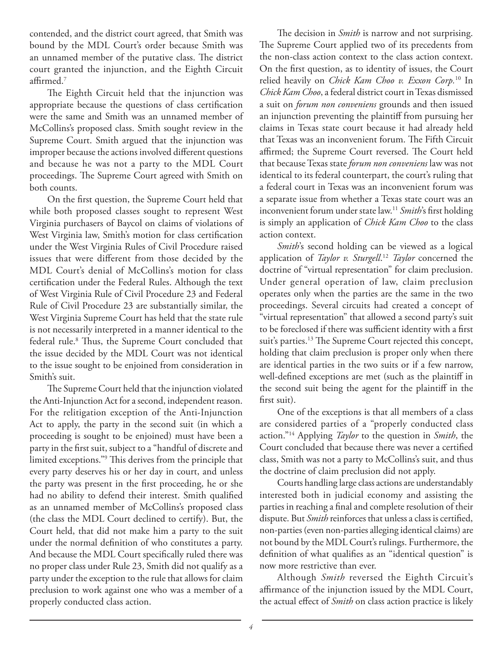contended, and the district court agreed, that Smith was bound by the MDL Court's order because Smith was an unnamed member of the putative class. The district court granted the injunction, and the Eighth Circuit affirmed.7

The Eighth Circuit held that the injunction was appropriate because the questions of class certification were the same and Smith was an unnamed member of McCollins's proposed class. Smith sought review in the Supreme Court. Smith argued that the injunction was improper because the actions involved different questions and because he was not a party to the MDL Court proceedings. The Supreme Court agreed with Smith on both counts.

On the first question, the Supreme Court held that while both proposed classes sought to represent West Virginia purchasers of Baycol on claims of violations of West Virginia law, Smith's motion for class certification under the West Virginia Rules of Civil Procedure raised issues that were different from those decided by the MDL Court's denial of McCollins's motion for class certification under the Federal Rules. Although the text of West Virginia Rule of Civil Procedure 23 and Federal Rule of Civil Procedure 23 are substantially similar, the West Virginia Supreme Court has held that the state rule is not necessarily interpreted in a manner identical to the federal rule.<sup>8</sup> Thus, the Supreme Court concluded that the issue decided by the MDL Court was not identical to the issue sought to be enjoined from consideration in Smith's suit.

The Supreme Court held that the injunction violated the Anti-Injunction Act for a second, independent reason. For the relitigation exception of the Anti-Injunction Act to apply, the party in the second suit (in which a proceeding is sought to be enjoined) must have been a party in the first suit, subject to a "handful of discrete and limited exceptions."9 This derives from the principle that every party deserves his or her day in court, and unless the party was present in the first proceeding, he or she had no ability to defend their interest. Smith qualified as an unnamed member of McCollins's proposed class (the class the MDL Court declined to certify). But, the Court held, that did not make him a party to the suit under the normal definition of who constitutes a party. And because the MDL Court specifically ruled there was no proper class under Rule 23, Smith did not qualify as a party under the exception to the rule that allows for claim preclusion to work against one who was a member of a properly conducted class action.

The decision in *Smith* is narrow and not surprising. The Supreme Court applied two of its precedents from the non-class action context to the class action context. On the first question, as to identity of issues, the Court relied heavily on *Chick Kam Choo v. Exxon Corp.*10 In *Chick Kam Choo*, a federal district court in Texas dismissed a suit on *forum non conveniens* grounds and then issued an injunction preventing the plaintiff from pursuing her claims in Texas state court because it had already held that Texas was an inconvenient forum. The Fifth Circuit affirmed; the Supreme Court reversed. The Court held that because Texas state *forum non conveniens* law was not identical to its federal counterpart, the court's ruling that a federal court in Texas was an inconvenient forum was a separate issue from whether a Texas state court was an inconvenient forum under state law.11 *Smith*'s first holding is simply an application of *Chick Kam Choo* to the class action context.

*Smith*'s second holding can be viewed as a logical application of *Taylor v. Sturgell*. <sup>12</sup> *Taylor* concerned the doctrine of "virtual representation" for claim preclusion. Under general operation of law, claim preclusion operates only when the parties are the same in the two proceedings. Several circuits had created a concept of "virtual representation" that allowed a second party's suit to be foreclosed if there was sufficient identity with a first suit's parties.<sup>13</sup> The Supreme Court rejected this concept, holding that claim preclusion is proper only when there are identical parties in the two suits or if a few narrow, well-defined exceptions are met (such as the plaintiff in the second suit being the agent for the plaintiff in the first suit).

One of the exceptions is that all members of a class are considered parties of a "properly conducted class action."14 Applying *Taylor* to the question in *Smith*, the Court concluded that because there was never a certified class, Smith was not a party to McCollins's suit, and thus the doctrine of claim preclusion did not apply.

Courts handling large class actions are understandably interested both in judicial economy and assisting the parties in reaching a final and complete resolution of their dispute. But *Smith* reinforces that unless a class is certified, non-parties (even non-parties alleging identical claims) are not bound by the MDL Court's rulings. Furthermore, the definition of what qualifies as an "identical question" is now more restrictive than ever.

Although *Smith* reversed the Eighth Circuit's affirmance of the injunction issued by the MDL Court, the actual effect of *Smith* on class action practice is likely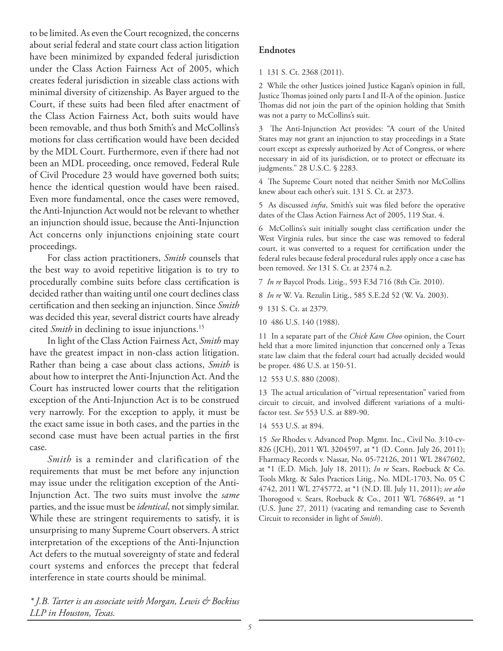to be limited. As even the Court recognized, the concerns about serial federal and state court class action litigation have been minimized by expanded federal jurisdiction under the Class Action Fairness Act of 2005, which creates federal jurisdiction in sizeable class actions with minimal diversity of citizenship. As Bayer argued to the Court, if these suits had been filed after enactment of the Class Action Fairness Act, both suits would have been removable, and thus both Smith's and McCollins's motions for class certification would have been decided by the MDL Court. Furthermore, even if there had not been an MDL proceeding, once removed, Federal Rule of Civil Procedure 23 would have governed both suits; hence the identical question would have been raised. Even more fundamental, once the cases were removed, the Anti-Injunction Act would not be relevant to whether an injunction should issue, because the Anti-Injunction Act concerns only injunctions enjoining state court proceedings.

For class action practitioners, *Smith* counsels that the best way to avoid repetitive litigation is to try to procedurally combine suits before class certification is decided rather than waiting until one court declines class certification and then seeking an injunction. Since *Smith* was decided this year, several district courts have already cited *Smith* in declining to issue injunctions.<sup>15</sup>

In light of the Class Action Fairness Act, *Smith* may have the greatest impact in non-class action litigation. Rather than being a case about class actions, *Smith* is about how to interpret the Anti-Injunction Act. And the Court has instructed lower courts that the relitigation exception of the Anti-Injunction Act is to be construed very narrowly. For the exception to apply, it must be the exact same issue in both cases, and the parties in the second case must have been actual parties in the first case.

*Smith* is a reminder and clarification of the requirements that must be met before any injunction may issue under the relitigation exception of the Anti-Injunction Act. The two suits must involve the *same*  parties, and the issue must be *identical*, not simply similar. While these are stringent requirements to satisfy, it is unsurprising to many Supreme Court observers. A strict interpretation of the exceptions of the Anti-Injunction Act defers to the mutual sovereignty of state and federal court systems and enforces the precept that federal interference in state courts should be minimal.

#### **Endnotes**

1 131 S. Ct. 2368 (2011).

2 While the other Justices joined Justice Kagan's opinion in full, Justice Thomas joined only parts I and II-A of the opinion. Justice Thomas did not join the part of the opinion holding that Smith was not a party to McCollins's suit.

3 The Anti-Injunction Act provides: "A court of the United States may not grant an injunction to stay proceedings in a State court except as expressly authorized by Act of Congress, or where necessary in aid of its jurisdiction, or to protect or effectuate its judgments." 28 U.S.C. § 2283.

4 The Supreme Court noted that neither Smith nor McCollins knew about each other's suit. 131 S. Ct. at 2373.

5 As discussed *infra*, Smith's suit was filed before the operative dates of the Class Action Fairness Act of 2005, 119 Stat. 4.

6 McCollins's suit initially sought class certification under the West Virginia rules, but since the case was removed to federal court, it was converted to a request for certification under the federal rules because federal procedural rules apply once a case has been removed. *See* 131 S. Ct. at 2374 n.2.

7 *In re* Baycol Prods. Litig., 593 F.3d 716 (8th Cir. 2010).

8 *In re* W. Va. Rezulin Litig., 585 S.E.2d 52 (W. Va. 2003).

9 131 S. Ct. at 2379.

10 486 U.S. 140 (1988).

11 In a separate part of the *Chick Kam Choo* opinion, the Court held that a more limited injunction that concerned only a Texas state law claim that the federal court had actually decided would be proper. 486 U.S. at 150-51.

12 553 U.S. 880 (2008).

13 The actual articulation of "virtual representation" varied from circuit to circuit, and involved different variations of a multifactor test. *See* 553 U.S. at 889-90.

14 553 U.S. at 894.

15 *See* Rhodes v. Advanced Prop. Mgmt. Inc., Civil No. 3:10-cv-826 (JCH), 2011 WL 3204597, at \*1 (D. Conn. July 26, 2011); Fharmacy Records v. Nassar, No. 05-72126, 2011 WL 2847602, at \*1 (E.D. Mich. July 18, 2011); *In re* Sears, Roebuck & Co. Tools Mktg. & Sales Practices Litig., No. MDL-1703, No. 05 C 4742, 2011 WL 2745772, at \*1 (N.D. Ill. July 11, 2011); *see also*  Thorogood v. Sears, Roebuck & Co., 2011 WL 768649, at \*1 (U.S. June 27, 2011) (vacating and remanding case to Seventh Circuit to reconsider in light of *Smith*).

*\* J.B. Tarter is an associate with Morgan, Lewis & Bockius LLP in Houston, Texas.*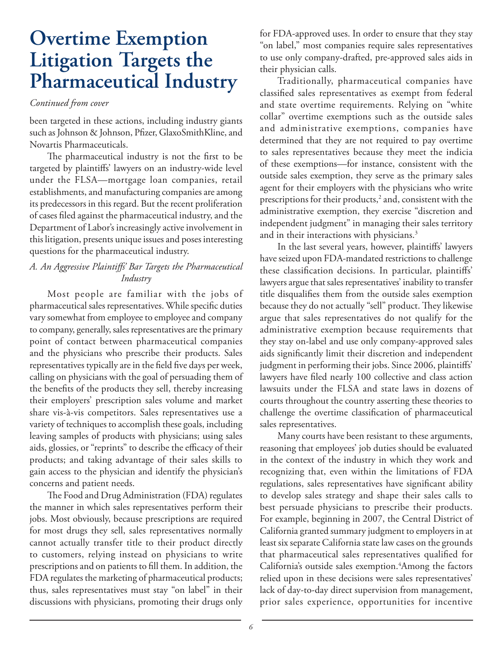### **Overtime Exemption Litigation Targets the Pharmaceutical Industry**

#### *Continued from cover*

been targeted in these actions, including industry giants such as Johnson & Johnson, Pfizer, GlaxoSmithKline, and Novartis Pharmaceuticals.

The pharmaceutical industry is not the first to be targeted by plaintiffs' lawyers on an industry-wide level under the FLSA—mortgage loan companies, retail establishments, and manufacturing companies are among its predecessors in this regard. But the recent proliferation of cases filed against the pharmaceutical industry, and the Department of Labor's increasingly active involvement in this litigation, presents unique issues and poses interesting questions for the pharmaceutical industry.

#### *A. An Aggressive Plaintiffs' Bar Targets the Pharmaceutical Industry*

Most people are familiar with the jobs of pharmaceutical sales representatives. While specific duties vary somewhat from employee to employee and company to company, generally, sales representatives are the primary point of contact between pharmaceutical companies and the physicians who prescribe their products. Sales representatives typically are in the field five days per week, calling on physicians with the goal of persuading them of the benefits of the products they sell, thereby increasing their employers' prescription sales volume and market share vis-à-vis competitors. Sales representatives use a variety of techniques to accomplish these goals, including leaving samples of products with physicians; using sales aids, glossies, or "reprints" to describe the efficacy of their products; and taking advantage of their sales skills to gain access to the physician and identify the physician's concerns and patient needs.

The Food and Drug Administration (FDA) regulates the manner in which sales representatives perform their jobs. Most obviously, because prescriptions are required for most drugs they sell, sales representatives normally cannot actually transfer title to their product directly to customers, relying instead on physicians to write prescriptions and on patients to fill them. In addition, the FDA regulates the marketing of pharmaceutical products; thus, sales representatives must stay "on label" in their discussions with physicians, promoting their drugs only

for FDA-approved uses. In order to ensure that they stay "on label," most companies require sales representatives to use only company-drafted, pre-approved sales aids in their physician calls.

Traditionally, pharmaceutical companies have classified sales representatives as exempt from federal and state overtime requirements. Relying on "white collar" overtime exemptions such as the outside sales and administrative exemptions, companies have determined that they are not required to pay overtime to sales representatives because they meet the indicia of these exemptions—for instance, consistent with the outside sales exemption, they serve as the primary sales agent for their employers with the physicians who write prescriptions for their products,<sup>2</sup> and, consistent with the administrative exemption, they exercise "discretion and independent judgment" in managing their sales territory and in their interactions with physicians.<sup>3</sup>

In the last several years, however, plaintiffs' lawyers have seized upon FDA-mandated restrictions to challenge these classification decisions. In particular, plaintiffs' lawyers argue that sales representatives' inability to transfer title disqualifies them from the outside sales exemption because they do not actually "sell" product. They likewise argue that sales representatives do not qualify for the administrative exemption because requirements that they stay on-label and use only company-approved sales aids significantly limit their discretion and independent judgment in performing their jobs. Since 2006, plaintiffs' lawyers have filed nearly 100 collective and class action lawsuits under the FLSA and state laws in dozens of courts throughout the country asserting these theories to challenge the overtime classification of pharmaceutical sales representatives.

Many courts have been resistant to these arguments, reasoning that employees' job duties should be evaluated in the context of the industry in which they work and recognizing that, even within the limitations of FDA regulations, sales representatives have significant ability to develop sales strategy and shape their sales calls to best persuade physicians to prescribe their products. For example, beginning in 2007, the Central District of California granted summary judgment to employers in at least six separate California state law cases on the grounds that pharmaceutical sales representatives qualified for California's outside sales exemption.<sup>4</sup>Among the factors relied upon in these decisions were sales representatives' lack of day-to-day direct supervision from management, prior sales experience, opportunities for incentive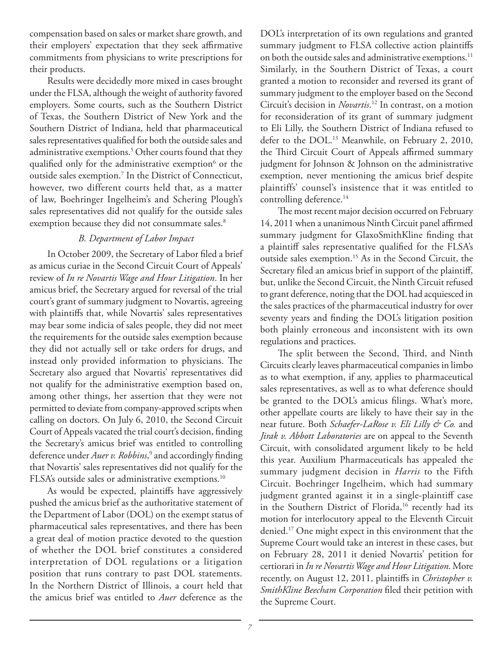compensation based on sales or market share growth, and their employers' expectation that they seek affirmative commitments from physicians to write prescriptions for their products.

Results were decidedly more mixed in cases brought under the FLSA, although the weight of authority favored employers. Some courts, such as the Southern District of Texas, the Southern District of New York and the Southern District of Indiana, held that pharmaceutical sales representatives qualified for both the outside sales and administrative exemptions.5 Other courts found that they qualified only for the administrative exemption<sup>6</sup> or the outside sales exemption.7 In the District of Connecticut, however, two different courts held that, as a matter of law, Boehringer Ingelheim's and Schering Plough's sales representatives did not qualify for the outside sales exemption because they did not consummate sales.<sup>8</sup>

#### *B. Department of Labor Impact*

In October 2009, the Secretary of Labor filed a brief as amicus curiae in the Second Circuit Court of Appeals' review of *In re Novartis Wage and Hour Litigation*. In her amicus brief, the Secretary argued for reversal of the trial court's grant of summary judgment to Novartis, agreeing with plaintiffs that, while Novartis' sales representatives may bear some indicia of sales people, they did not meet the requirements for the outside sales exemption because they did not actually sell or take orders for drugs, and instead only provided information to physicians. The Secretary also argued that Novartis' representatives did not qualify for the administrative exemption based on, among other things, her assertion that they were not permitted to deviate from company-approved scripts when calling on doctors. On July 6, 2010, the Second Circuit Court of Appeals vacated the trial court's decision, finding the Secretary's amicus brief was entitled to controlling deference under *Auer v. Robbins*, 9 and accordingly finding that Novartis' sales representatives did not qualify for the FLSA's outside sales or administrative exemptions.<sup>10</sup>

As would be expected, plaintiffs have aggressively pushed the amicus brief as the authoritative statement of the Department of Labor (DOL) on the exempt status of pharmaceutical sales representatives, and there has been a great deal of motion practice devoted to the question of whether the DOL brief constitutes a considered interpretation of DOL regulations or a litigation position that runs contrary to past DOL statements. In the Northern District of Illinois, a court held that the amicus brief was entitled to *Auer* deference as the

DOL's interpretation of its own regulations and granted summary judgment to FLSA collective action plaintiffs on both the outside sales and administrative exemptions.<sup>11</sup> Similarly, in the Southern District of Texas, a court granted a motion to reconsider and reversed its grant of summary judgment to the employer based on the Second Circuit's decision in *Novartis*. 12 In contrast, on a motion for reconsideration of its grant of summary judgment to Eli Lilly, the Southern District of Indiana refused to defer to the DOL.<sup>13</sup> Meanwhile, on February 2, 2010, the Third Circuit Court of Appeals affirmed summary judgment for Johnson & Johnson on the administrative exemption, never mentioning the amicus brief despite plaintiffs' counsel's insistence that it was entitled to controlling deference.<sup>14</sup>

The most recent major decision occurred on February 14, 2011 when a unanimous Ninth Circuit panel affirmed summary judgment for GlaxoSmithKline finding that a plaintiff sales representative qualified for the FLSA's outside sales exemption.15 As in the Second Circuit, the Secretary filed an amicus brief in support of the plaintiff, but, unlike the Second Circuit, the Ninth Circuit refused to grant deference, noting that the DOL had acquiesced in the sales practices of the pharmaceutical industry for over seventy years and finding the DOL's litigation position both plainly erroneous and inconsistent with its own regulations and practices.

The split between the Second, Third, and Ninth Circuits clearly leaves pharmaceutical companies in limbo as to what exemption, if any, applies to pharmaceutical sales representatives, as well as to what deference should be granted to the DOL's amicus filings. What's more, other appellate courts are likely to have their say in the near future. Both *Schaefer-LaRose v. Eli Lilly & Co.* and *Jirak v. Abbott Laboratories* are on appeal to the Seventh Circuit, with consolidated argument likely to be held this year. Auxilium Pharmaceuticals has appealed the summary judgment decision in *Harris* to the Fifth Circuit. Boehringer Ingelheim, which had summary judgment granted against it in a single-plaintiff case in the Southern District of Florida,<sup>16</sup> recently had its motion for interlocutory appeal to the Eleventh Circuit denied.17 One might expect in this environment that the Supreme Court would take an interest in these cases, but on February 28, 2011 it denied Novartis' petition for certiorari in *In re Novartis Wage and Hour Litigation*. More recently, on August 12, 2011, plaintiffs in *Christopher v. SmithKline Beecham Corporation* filed their petition with the Supreme Court.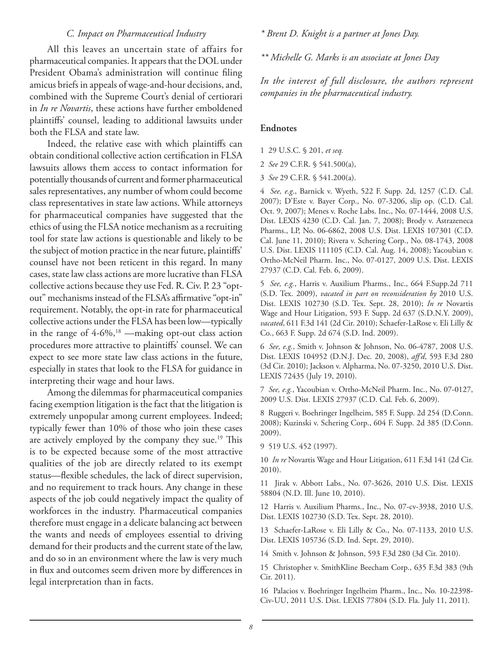#### *C. Impact on Pharmaceutical Industry*

All this leaves an uncertain state of affairs for pharmaceutical companies. It appears that the DOL under President Obama's administration will continue filing amicus briefs in appeals of wage-and-hour decisions, and, combined with the Supreme Court's denial of certiorari in *In re Novartis*, these actions have further emboldened plaintiffs' counsel, leading to additional lawsuits under both the FLSA and state law.

Indeed, the relative ease with which plaintiffs can obtain conditional collective action certification in FLSA lawsuits allows them access to contact information for potentially thousands of current and former pharmaceutical sales representatives, any number of whom could become class representatives in state law actions. While attorneys for pharmaceutical companies have suggested that the ethics of using the FLSA notice mechanism as a recruiting tool for state law actions is questionable and likely to be the subject of motion practice in the near future, plaintiffs' counsel have not been reticent in this regard. In many cases, state law class actions are more lucrative than FLSA collective actions because they use Fed. R. Civ. P. 23 "optout" mechanisms instead of the FLSA's affirmative "opt-in" requirement. Notably, the opt-in rate for pharmaceutical collective actions under the FLSA has been low—typically in the range of 4-6%,<sup>18</sup> —making opt-out class action procedures more attractive to plaintiffs' counsel. We can expect to see more state law class actions in the future, especially in states that look to the FLSA for guidance in interpreting their wage and hour laws.

Among the dilemmas for pharmaceutical companies facing exemption litigation is the fact that the litigation is extremely unpopular among current employees. Indeed; typically fewer than 10% of those who join these cases are actively employed by the company they sue.<sup>19</sup> This is to be expected because some of the most attractive qualities of the job are directly related to its exempt status—flexible schedules, the lack of direct supervision, and no requirement to track hours. Any change in these aspects of the job could negatively impact the quality of workforces in the industry. Pharmaceutical companies therefore must engage in a delicate balancing act between the wants and needs of employees essential to driving demand for their products and the current state of the law, and do so in an environment where the law is very much in flux and outcomes seem driven more by differences in legal interpretation than in facts.

#### *\* Brent D. Knight is a partner at Jones Day.*

*\*\* Michelle G. Marks is an associate at Jones Day*

*In the interest of full disclosure, the authors represent companies in the pharmaceutical industry.*

#### **Endnotes**

- 1 29 U.S.C. § 201, *et seq.*
- 2 *See* 29 C.F.R. § 541.500(a),
- 3 *See* 29 C.F.R. § 541.200(a).

4 *See, e.g.*, Barnick v. Wyeth, 522 F. Supp. 2d, 1257 (C.D. Cal. 2007); D'Este v. Bayer Corp., No. 07-3206, slip op. (C.D. Cal. Oct. 9, 2007); Menes v. Roche Labs. Inc., No. 07-1444, 2008 U.S. Dist. LEXIS 4230 (C.D. Cal. Jan. 7, 2008); Brody v. Astrazeneca Pharms., LP, No. 06-6862, 2008 U.S. Dist. LEXIS 107301 (C.D. Cal. June 11, 2010); Rivera v. Schering Corp., No. 08-1743, 2008 U.S. Dist. LEXIS 111105 (C.D. Cal. Aug. 14, 2008); Yacoubian v. Ortho-McNeil Pharm. Inc., No. 07-0127, 2009 U.S. Dist. LEXIS 27937 (C.D. Cal. Feb. 6, 2009).

5 *See, e.g.*, Harris v. Auxilium Pharms., Inc., 664 F.Supp.2d 711 (S.D. Tex. 2009), *vacated in part on reconsideration by* 2010 U.S. Dist. LEXIS 102730 (S.D. Tex. Sept. 28, 2010); *In re* Novartis Wage and Hour Litigation, 593 F. Supp. 2d 637 (S.D.N.Y. 2009), *vacated*, 611 F.3d 141 (2d Cir. 2010); Schaefer-LaRose v. Eli Lilly & Co., 663 F. Supp. 2d 674 (S.D. Ind. 2009).

6 *See, e.g.*, Smith v. Johnson & Johnson, No. 06-4787, 2008 U.S. Dist. LEXIS 104952 (D.N.J. Dec. 20, 2008), *aff'd*, 593 F.3d 280 (3d Cir. 2010); Jackson v. Alpharma, No. 07-3250, 2010 U.S. Dist. LEXIS 72435 (July 19, 2010).

7 *See, e.g.*, Yacoubian v. Ortho-McNeil Pharm. Inc., No. 07-0127, 2009 U.S. Dist. LEXIS 27937 (C.D. Cal. Feb. 6, 2009).

8 Ruggeri v. Boehringer Ingelheim, 585 F. Supp. 2d 254 (D.Conn. 2008); Kuzinski v. Schering Corp., 604 F. Supp. 2d 385 (D.Conn. 2009).

9 519 U.S. 452 (1997).

10 *In re* Novartis Wage and Hour Litigation, 611 F.3d 141 (2d Cir. 2010).

11 Jirak v. Abbott Labs., No. 07-3626, 2010 U.S. Dist. LEXIS 58804 (N.D. Ill. June 10, 2010).

12 Harris v. Auxilium Pharms., Inc., No. 07-cv-3938, 2010 U.S. Dist. LEXIS 102730 (S.D. Tex. Sept. 28, 2010).

13 Schaefer-LaRose v. Eli Lilly & Co., No. 07-1133, 2010 U.S. Dist. LEXIS 105736 (S.D. Ind. Sept. 29, 2010).

14 Smith v. Johnson & Johnson, 593 F.3d 280 (3d Cir. 2010).

15 Christopher v. SmithKline Beecham Corp., 635 F.3d 383 (9th Cir. 2011).

16 Palacios v. Boehringer Ingelheim Pharm., Inc., No. 10-22398- Civ-UU, 2011 U.S. Dist. LEXIS 77804 (S.D. Fla. July 11, 2011).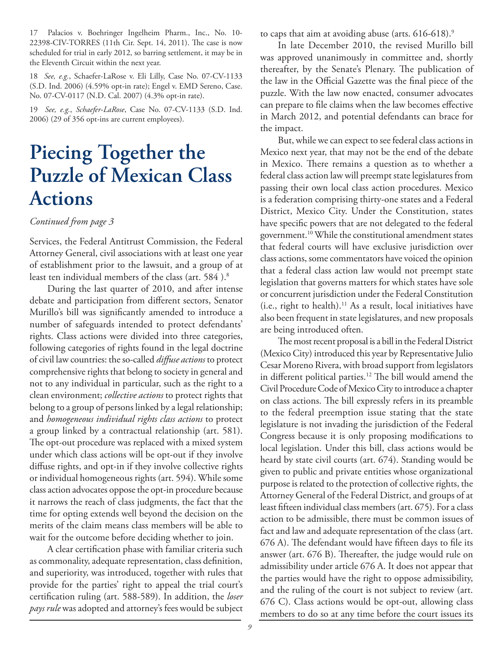17 Palacios v. Boehringer Ingelheim Pharm., Inc., No. 10- 22398-CIV-TORRES (11th Cir. Sept. 14, 2011). The case is now scheduled for trial in early 2012, so barring settlement, it may be in the Eleventh Circuit within the next year.

18 *See, e.g.*, Schaefer-LaRose v. Eli Lilly, Case No. 07-CV-1133 (S.D. Ind. 2006) (4.59% opt-in rate); Engel v. EMD Sereno, Case. No. 07-CV-0117 (N.D. Cal. 2007) (4.3% opt-in rate).

19 *See, e.g.*, *Schaefer-LaRose*, Case No. 07-CV-1133 (S.D. Ind. 2006) (29 of 356 opt-ins are current employees).

# **Piecing Together the Puzzle of Mexican Class Actions**

#### *Continued from page 3*

Services, the Federal Antitrust Commission, the Federal Attorney General, civil associations with at least one year of establishment prior to the lawsuit, and a group of at least ten individual members of the class (art. 584).<sup>8</sup>

During the last quarter of 2010, and after intense debate and participation from different sectors, Senator Murillo's bill was significantly amended to introduce a number of safeguards intended to protect defendants' rights. Class actions were divided into three categories, following categories of rights found in the legal doctrine of civil law countries: the so-called *diffuse actions* to protect comprehensive rights that belong to society in general and not to any individual in particular, such as the right to a clean environment; *collective actions* to protect rights that belong to a group of persons linked by a legal relationship; and *homogeneous individual rights class actions* to protect a group linked by a contractual relationship (art. 581). The opt-out procedure was replaced with a mixed system under which class actions will be opt-out if they involve diffuse rights, and opt-in if they involve collective rights or individual homogeneous rights (art. 594). While some class action advocates oppose the opt-in procedure because it narrows the reach of class judgments, the fact that the time for opting extends well beyond the decision on the merits of the claim means class members will be able to wait for the outcome before deciding whether to join.

A clear certification phase with familiar criteria such as commonality, adequate representation, class definition, and superiority, was introduced, together with rules that provide for the parties' right to appeal the trial court's certification ruling (art. 588-589). In addition, the *loser pays rule* was adopted and attorney's fees would be subject to caps that aim at avoiding abuse (arts. 616-618).9

In late December 2010, the revised Murillo bill was approved unanimously in committee and, shortly thereafter, by the Senate's Plenary. The publication of the law in the Official Gazette was the final piece of the puzzle. With the law now enacted, consumer advocates can prepare to file claims when the law becomes effective in March 2012, and potential defendants can brace for the impact.

But, while we can expect to see federal class actions in Mexico next year, that may not be the end of the debate in Mexico. There remains a question as to whether a federal class action law will preempt state legislatures from passing their own local class action procedures. Mexico is a federation comprising thirty-one states and a Federal District, Mexico City. Under the Constitution, states have specific powers that are not delegated to the federal government.10 While the constitutional amendment states that federal courts will have exclusive jurisdiction over class actions, some commentators have voiced the opinion that a federal class action law would not preempt state legislation that governs matters for which states have sole or concurrent jurisdiction under the Federal Constitution (i.e., right to health).11 As a result, local initiatives have also been frequent in state legislatures, and new proposals are being introduced often.

The most recent proposal is a bill in the Federal District (Mexico City) introduced this year by Representative Julio Cesar Moreno Rivera, with broad support from legislators in different political parties.12 The bill would amend the Civil Procedure Code of Mexico City to introduce a chapter on class actions. The bill expressly refers in its preamble to the federal preemption issue stating that the state legislature is not invading the jurisdiction of the Federal Congress because it is only proposing modifications to local legislation. Under this bill, class actions would be heard by state civil courts (art. 674). Standing would be given to public and private entities whose organizational purpose is related to the protection of collective rights, the Attorney General of the Federal District, and groups of at least fifteen individual class members (art. 675). For a class action to be admissible, there must be common issues of fact and law and adequate representation of the class (art. 676 A). The defendant would have fifteen days to file its answer (art. 676 B). Thereafter, the judge would rule on admissibility under article 676 A. It does not appear that the parties would have the right to oppose admissibility, and the ruling of the court is not subject to review (art. 676 C). Class actions would be opt-out, allowing class members to do so at any time before the court issues its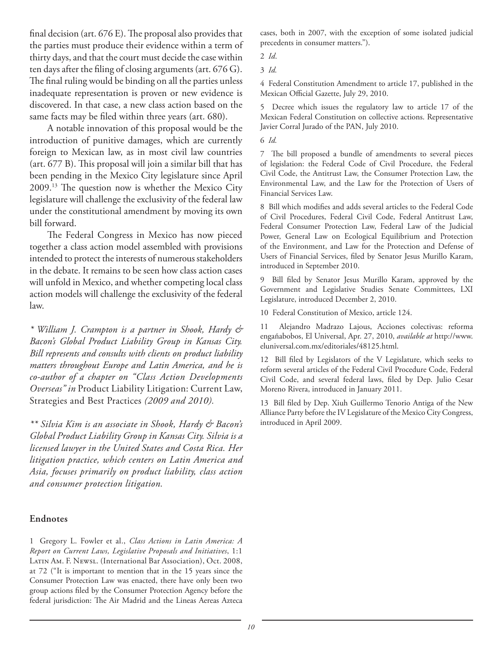final decision (art. 676 E). The proposal also provides that the parties must produce their evidence within a term of thirty days, and that the court must decide the case within ten days after the filing of closing arguments (art. 676 G). The final ruling would be binding on all the parties unless inadequate representation is proven or new evidence is discovered. In that case, a new class action based on the same facts may be filed within three years (art. 680).

A notable innovation of this proposal would be the introduction of punitive damages, which are currently foreign to Mexican law, as in most civil law countries (art. 677 B). This proposal will join a similar bill that has been pending in the Mexico City legislature since April 2009.13 The question now is whether the Mexico City legislature will challenge the exclusivity of the federal law under the constitutional amendment by moving its own bill forward.

The Federal Congress in Mexico has now pieced together a class action model assembled with provisions intended to protect the interests of numerous stakeholders in the debate. It remains to be seen how class action cases will unfold in Mexico, and whether competing local class action models will challenge the exclusivity of the federal law.

*\* William J. Crampton is a partner in Shook, Hardy & Bacon's Global Product Liability Group in Kansas City. Bill represents and consults with clients on product liability matters throughout Europe and Latin America, and he is co-author of a chapter on "Class Action Developments Overseas" in* Product Liability Litigation: Current Law, Strategies and Best Practices *(2009 and 2010).*

*\*\* Silvia Kim is an associate in Shook, Hardy & Bacon's Global Product Liability Group in Kansas City. Silvia is a licensed lawyer in the United States and Costa Rica. Her litigation practice, which centers on Latin America and Asia, focuses primarily on product liability, class action and consumer protection litigation.*

#### **Endnotes**

1 Gregory L. Fowler et al., *Class Actions in Latin America: A Report on Current Laws, Legislative Proposals and Initiatives*, 1:1 Latin Am. F. Newsl. (International Bar Association), Oct. 2008, at 72 ("It is important to mention that in the 15 years since the Consumer Protection Law was enacted, there have only been two group actions filed by the Consumer Protection Agency before the federal jurisdiction: The Air Madrid and the Lineas Aereas Azteca

cases, both in 2007, with the exception of some isolated judicial precedents in consumer matters.").

4 Federal Constitution Amendment to article 17, published in the Mexican Official Gazette, July 29, 2010.

5 Decree which issues the regulatory law to article 17 of the Mexican Federal Constitution on collective actions. Representative Javier Corral Jurado of the PAN, July 2010.

6 *Id.*

7 The bill proposed a bundle of amendments to several pieces of legislation: the Federal Code of Civil Procedure, the Federal Civil Code, the Antitrust Law, the Consumer Protection Law, the Environmental Law, and the Law for the Protection of Users of Financial Services Law.

8 Bill which modifies and adds several articles to the Federal Code of Civil Procedures, Federal Civil Code, Federal Antitrust Law, Federal Consumer Protection Law, Federal Law of the Judicial Power, General Law on Ecological Equilibrium and Protection of the Environment, and Law for the Protection and Defense of Users of Financial Services, filed by Senator Jesus Murillo Karam, introduced in September 2010.

9 Bill filed by Senator Jesus Murillo Karam, approved by the Government and Legislative Studies Senate Committees, LXI Legislature, introduced December 2, 2010.

10 Federal Constitution of Mexico, article 124.

11 Alejandro Madrazo Lajous, Acciones colectivas: reforma engañabobos, El Universal, Apr. 27, 2010, *available at* http://www. eluniversal.com.mx/editoriales/48125.html.

12 Bill filed by Legislators of the V Legislature, which seeks to reform several articles of the Federal Civil Procedure Code, Federal Civil Code, and several federal laws, filed by Dep. Julio Cesar Moreno Rivera, introduced in January 2011.

13 Bill filed by Dep. Xiuh Guillermo Tenorio Antiga of the New Alliance Party before the IV Legislature of the Mexico City Congress, introduced in April 2009.

<sup>2</sup> *Id*.

<sup>3</sup> *Id.*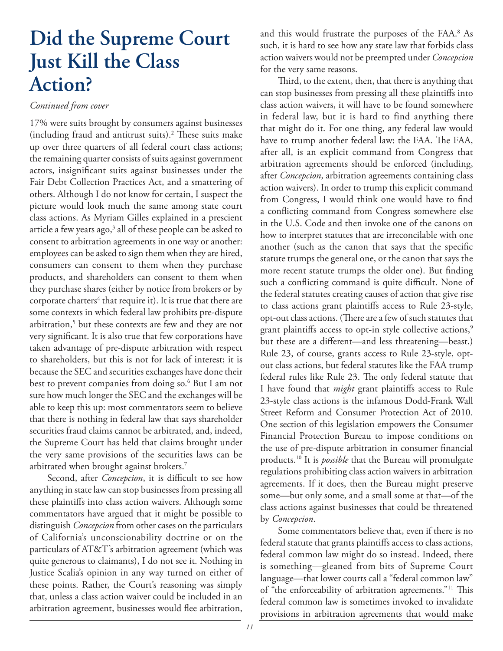# **Did the Supreme Court Just Kill the Class Action?**

#### *Continued from cover*

17% were suits brought by consumers against businesses (including fraud and antitrust suits).2 These suits make up over three quarters of all federal court class actions; the remaining quarter consists of suits against government actors, insignificant suits against businesses under the Fair Debt Collection Practices Act, and a smattering of others. Although I do not know for certain, I suspect the picture would look much the same among state court class actions. As Myriam Gilles explained in a prescient article a few years ago,<sup>3</sup> all of these people can be asked to consent to arbitration agreements in one way or another: employees can be asked to sign them when they are hired, consumers can consent to them when they purchase products, and shareholders can consent to them when they purchase shares (either by notice from brokers or by corporate charters $^4$  that require it). It is true that there are some contexts in which federal law prohibits pre-dispute arbitration,<sup>5</sup> but these contexts are few and they are not very significant. It is also true that few corporations have taken advantage of pre-dispute arbitration with respect to shareholders, but this is not for lack of interest; it is because the SEC and securities exchanges have done their best to prevent companies from doing so.6 But I am not sure how much longer the SEC and the exchanges will be able to keep this up: most commentators seem to believe that there is nothing in federal law that says shareholder securities fraud claims cannot be arbitrated, and, indeed, the Supreme Court has held that claims brought under the very same provisions of the securities laws can be arbitrated when brought against brokers.7

Second, after *Concepcion*, it is difficult to see how anything in state law can stop businesses from pressing all these plaintiffs into class action waivers. Although some commentators have argued that it might be possible to distinguish *Concepcion* from other cases on the particulars of California's unconscionability doctrine or on the particulars of AT&T's arbitration agreement (which was quite generous to claimants), I do not see it. Nothing in Justice Scalia's opinion in any way turned on either of these points. Rather, the Court's reasoning was simply that, unless a class action waiver could be included in an arbitration agreement, businesses would flee arbitration,

and this would frustrate the purposes of the FAA.8 As such, it is hard to see how any state law that forbids class action waivers would not be preempted under *Concepcion* for the very same reasons.

Third, to the extent, then, that there is anything that can stop businesses from pressing all these plaintiffs into class action waivers, it will have to be found somewhere in federal law, but it is hard to find anything there that might do it. For one thing, any federal law would have to trump another federal law: the FAA. The FAA, after all, is an explicit command from Congress that arbitration agreements should be enforced (including, after *Concepcion*, arbitration agreements containing class action waivers). In order to trump this explicit command from Congress, I would think one would have to find a conflicting command from Congress somewhere else in the U.S. Code and then invoke one of the canons on how to interpret statutes that are irreconcilable with one another (such as the canon that says that the specific statute trumps the general one, or the canon that says the more recent statute trumps the older one). But finding such a conflicting command is quite difficult. None of the federal statutes creating causes of action that give rise to class actions grant plaintiffs access to Rule 23-style, opt-out class actions. (There are a few of such statutes that grant plaintiffs access to opt-in style collective actions,<sup>9</sup> but these are a different—and less threatening—beast.) Rule 23, of course, grants access to Rule 23-style, optout class actions, but federal statutes like the FAA trump federal rules like Rule 23. The only federal statute that I have found that *might* grant plaintiffs access to Rule 23-style class actions is the infamous Dodd-Frank Wall Street Reform and Consumer Protection Act of 2010. One section of this legislation empowers the Consumer Financial Protection Bureau to impose conditions on the use of pre-dispute arbitration in consumer financial products.10 It is *possible* that the Bureau will promulgate regulations prohibiting class action waivers in arbitration agreements. If it does, then the Bureau might preserve some—but only some, and a small some at that—of the class actions against businesses that could be threatened by *Concepcion*.

Some commentators believe that, even if there is no federal statute that grants plaintiffs access to class actions, federal common law might do so instead. Indeed, there is something—gleaned from bits of Supreme Court language—that lower courts call a "federal common law" of "the enforceability of arbitration agreements."11 This federal common law is sometimes invoked to invalidate provisions in arbitration agreements that would make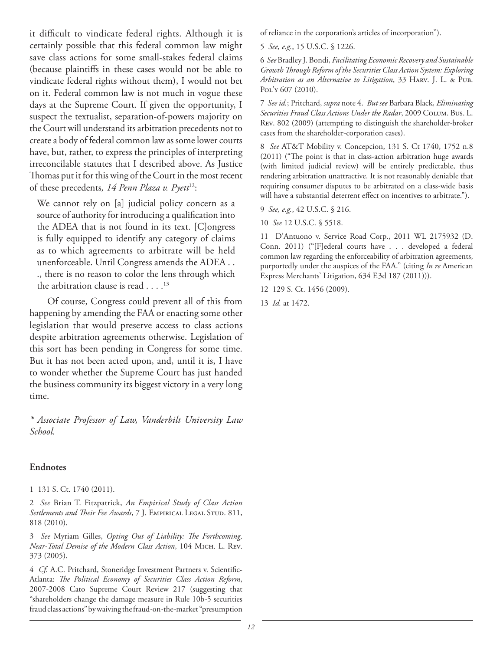it difficult to vindicate federal rights. Although it is certainly possible that this federal common law might save class actions for some small-stakes federal claims (because plaintiffs in these cases would not be able to vindicate federal rights without them), I would not bet on it. Federal common law is not much in vogue these days at the Supreme Court. If given the opportunity, I suspect the textualist, separation-of-powers majority on the Court will understand its arbitration precedents not to create a body of federal common law as some lower courts have, but, rather, to express the principles of interpreting irreconcilable statutes that I described above. As Justice Thomas put it for this wing of the Court in the most recent of these precedents*, 14 Penn Plaza v. Pyett*12:

We cannot rely on [a] judicial policy concern as a source of authority for introducing a qualification into the ADEA that is not found in its text. [C]ongress is fully equipped to identify any category of claims as to which agreements to arbitrate will be held unenforceable. Until Congress amends the ADEA . . ., there is no reason to color the lens through which the arbitration clause is read  $\dots$ .<sup>13</sup>

Of course, Congress could prevent all of this from happening by amending the FAA or enacting some other legislation that would preserve access to class actions despite arbitration agreements otherwise. Legislation of this sort has been pending in Congress for some time. But it has not been acted upon, and, until it is, I have to wonder whether the Supreme Court has just handed the business community its biggest victory in a very long time.

*\* Associate Professor of Law, Vanderbilt University Law School.*

#### **Endnotes**

1 131 S. Ct. 1740 (2011).

2 *See* Brian T. Fitzpatrick, *An Empirical Study of Class Action*  Settlements and Their Fee Awards, 7 J. EMPIRICAL LEGAL STUD. 811, 818 (2010).

3 *See* Myriam Gilles, *Opting Out of Liability: The Forthcoming, Near-Total Demise of the Modern Class Action*, 104 Mich. L. Rev. 373 (2005).

4 *Cf*. A.C. Pritchard, Stoneridge Investment Partners v. Scientific-Atlanta: *The Political Economy of Securities Class Action Reform*, 2007-2008 Cato Supreme Court Review 217 (suggesting that "shareholders change the damage measure in Rule 10b-5 securities fraud class actions" by waiving the fraud-on-the-market "presumption

of reliance in the corporation's articles of incorporation").

5 *See, e.g.*, 15 U.S.C. § 1226.

6 *See* Bradley J. Bondi, *Facilitating Economic Recovery and Sustainable Growth Through Reform of the Securities Class Action System: Exploring Arbitration as an Alternative to Litigation*, 33 Harv. J. L. & Pub. Pol'y 607 (2010).

7 *See id.*; Pritchard, *supra* note 4. *But see* Barbara Black, *Eliminating Securities Fraud Class Actions Under the Radar*, 2009 Colum. Bus. L. Rev. 802 (2009) (attempting to distinguish the shareholder-broker cases from the shareholder-corporation cases).

8 *See* AT&T Mobility v. Concepcion, 131 S. Ct 1740, 1752 n.8 (2011) ("The point is that in class-action arbitration huge awards (with limited judicial review) will be entirely predictable, thus rendering arbitration unattractive. It is not reasonably deniable that requiring consumer disputes to be arbitrated on a class-wide basis will have a substantial deterrent effect on incentives to arbitrate.").

9 *See, e.g.*, 42 U.S.C. § 216.

10 *See* 12 U.S.C. § 5518.

11 D'Antuono v. Service Road Corp., 2011 WL 2175932 (D. Conn. 2011) ("[F]ederal courts have . . . developed a federal common law regarding the enforceability of arbitration agreements, purportedly under the auspices of the FAA." (citing *In re* American Express Merchants' Litigation, 634 F.3d 187 (2011))).

12 129 S. Ct. 1456 (2009).

13 *Id.* at 1472.